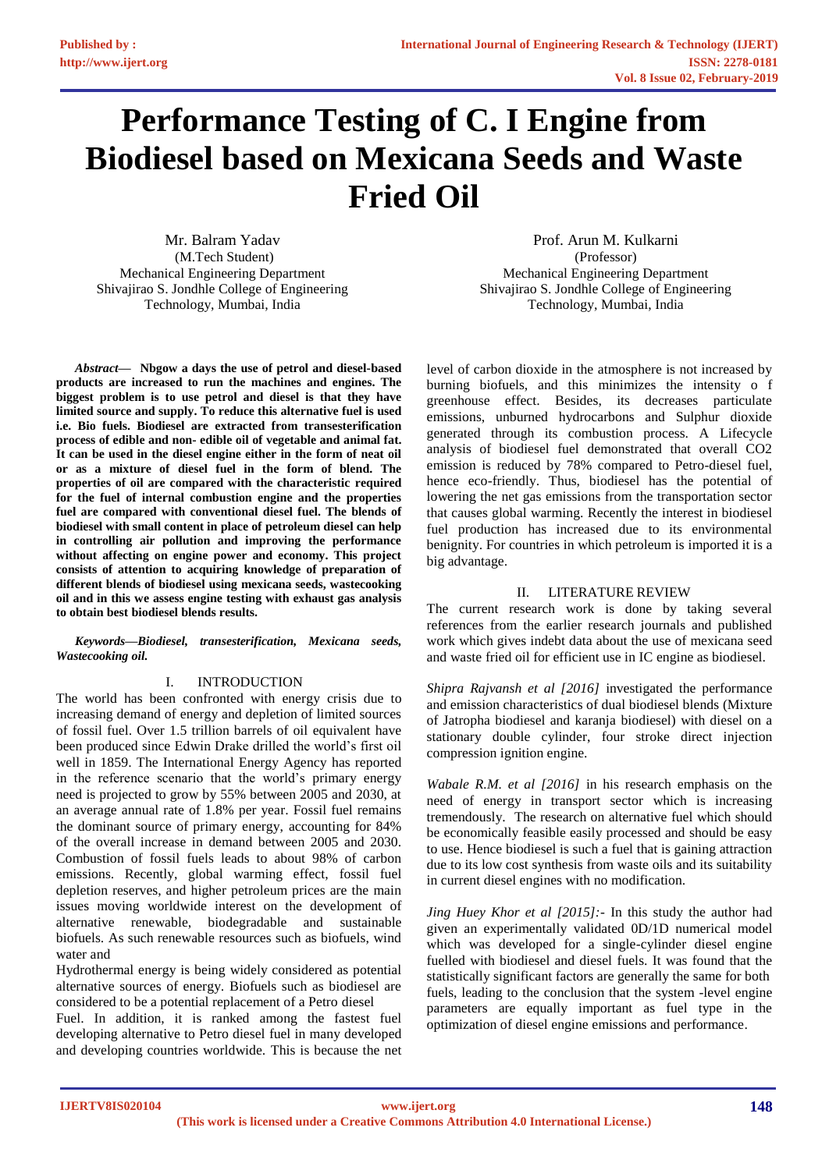# **Performance Testing of C. I Engine from Biodiesel based on Mexicana Seeds and Waste Fried Oil**

Mr. Balram Yadav (M.Tech Student) Mechanical Engineering Department Shivajirao S. Jondhle College of Engineering Technology, Mumbai, India

*Abstract***— Nbgow a days the use of petrol and diesel-based products are increased to run the machines and engines. The biggest problem is to use petrol and diesel is that they have limited source and supply. To reduce this alternative fuel is used i.e. Bio fuels. Biodiesel are extracted from transesterification process of edible and non- edible oil of vegetable and animal fat. It can be used in the diesel engine either in the form of neat oil or as a mixture of diesel fuel in the form of blend. The properties of oil are compared with the characteristic required for the fuel of internal combustion engine and the properties fuel are compared with conventional diesel fuel. The blends of biodiesel with small content in place of petroleum diesel can help in controlling air pollution and improving the performance without affecting on engine power and economy. This project consists of attention to acquiring knowledge of preparation of different blends of biodiesel using mexicana seeds, wastecooking oil and in this we assess engine testing with exhaust gas analysis to obtain best biodiesel blends results.**

*Keywords—Biodiesel, transesterification, Mexicana seeds, Wastecooking oil.*

# I. INTRODUCTION

The world has been confronted with energy crisis due to increasing demand of energy and depletion of limited sources of fossil fuel. Over 1.5 trillion barrels of oil equivalent have been produced since Edwin Drake drilled the world's first oil well in 1859. The International Energy Agency has reported in the reference scenario that the world's primary energy need is projected to grow by 55% between 2005 and 2030, at an average annual rate of 1.8% per year. Fossil fuel remains the dominant source of primary energy, accounting for 84% of the overall increase in demand between 2005 and 2030. Combustion of fossil fuels leads to about 98% of carbon emissions. Recently, global warming effect, fossil fuel depletion reserves, and higher petroleum prices are the main issues moving worldwide interest on the development of alternative renewable, biodegradable and sustainable biofuels. As such renewable resources such as biofuels, wind water and

Hydrothermal energy is being widely considered as potential alternative sources of energy. Biofuels such as biodiesel are considered to be a potential replacement of a Petro diesel

Fuel. In addition, it is ranked among the fastest fuel developing alternative to Petro diesel fuel in many developed and developing countries worldwide. This is because the net

Prof. Arun M. Kulkarni (Professor) Mechanical Engineering Department Shivajirao S. Jondhle College of Engineering Technology, Mumbai, India

level of carbon dioxide in the atmosphere is not increased by burning biofuels, and this minimizes the intensity o f greenhouse effect. Besides, its decreases particulate emissions, unburned hydrocarbons and Sulphur dioxide generated through its combustion process. A Lifecycle analysis of biodiesel fuel demonstrated that overall CO2 emission is reduced by 78% compared to Petro-diesel fuel, hence eco-friendly. Thus, biodiesel has the potential of lowering the net gas emissions from the transportation sector that causes global warming. Recently the interest in biodiesel fuel production has increased due to its environmental benignity. For countries in which petroleum is imported it is a big advantage.

#### II. LITERATURE REVIEW

The current research work is done by taking several references from the earlier research journals and published work which gives indebt data about the use of mexicana seed and waste fried oil for efficient use in IC engine as biodiesel.

*Shipra Rajvansh et al [2016]* investigated the performance and emission characteristics of dual biodiesel blends (Mixture of Jatropha biodiesel and karanja biodiesel) with diesel on a stationary double cylinder, four stroke direct injection compression ignition engine.

*Wabale R.M. et al [2016]* in his research emphasis on the need of energy in transport sector which is increasing tremendously. The research on alternative fuel which should be economically feasible easily processed and should be easy to use. Hence biodiesel is such a fuel that is gaining attraction due to its low cost synthesis from waste oils and its suitability in current diesel engines with no modification.

*Jing Huey Khor et al [2015]:-* In this study the author had given an experimentally validated 0D/1D numerical model which was developed for a single-cylinder diesel engine fuelled with biodiesel and diesel fuels. It was found that the statistically significant factors are generally the same for both fuels, leading to the conclusion that the system -level engine parameters are equally important as fuel type in the optimization of diesel engine emissions and performance.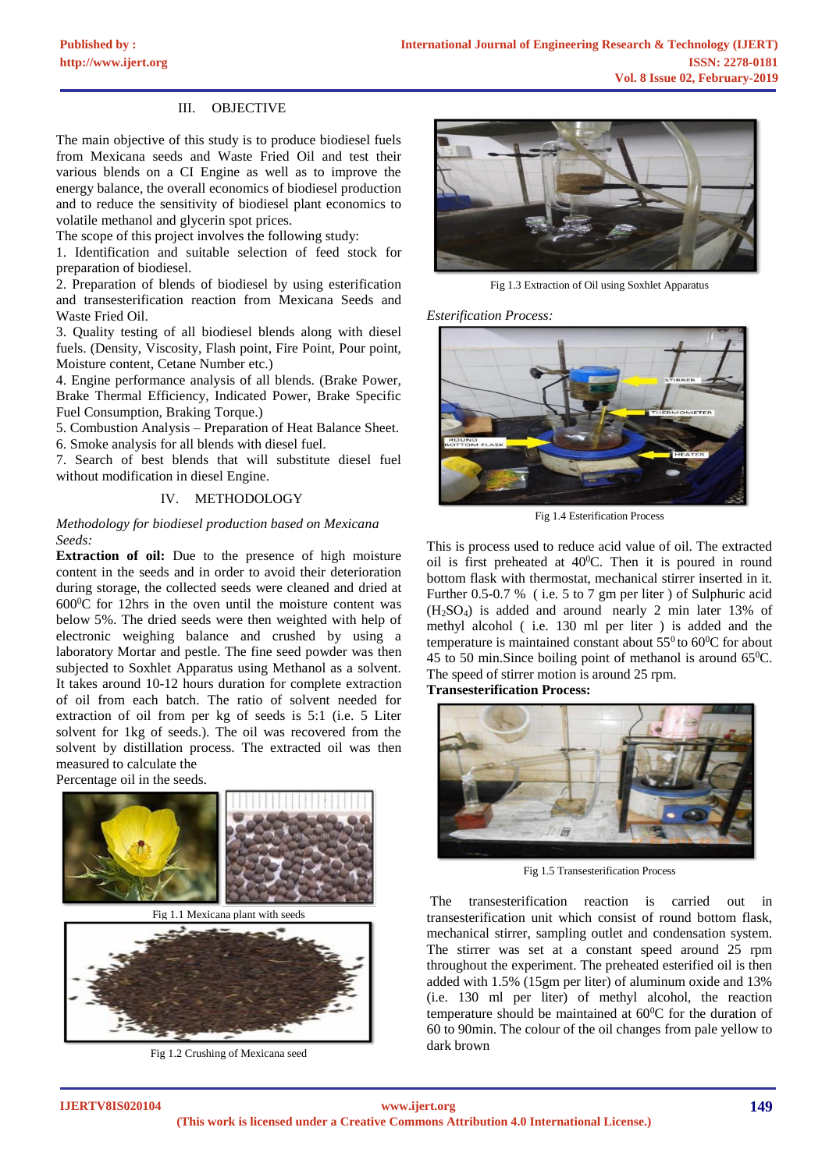# III. OBJECTIVE

The main objective of this study is to produce biodiesel fuels from Mexicana seeds and Waste Fried Oil and test their various blends on a CI Engine as well as to improve the energy balance, the overall economics of biodiesel production and to reduce the sensitivity of biodiesel plant economics to volatile methanol and glycerin spot prices.

The scope of this project involves the following study:

1. Identification and suitable selection of feed stock for preparation of biodiesel.

2. Preparation of blends of biodiesel by using esterification and transesterification reaction from Mexicana Seeds and Waste Fried Oil.

3. Quality testing of all biodiesel blends along with diesel fuels. (Density, Viscosity, Flash point, Fire Point, Pour point, Moisture content, Cetane Number etc.)

4. Engine performance analysis of all blends. (Brake Power, Brake Thermal Efficiency, Indicated Power, Brake Specific Fuel Consumption, Braking Torque.)

5. Combustion Analysis – Preparation of Heat Balance Sheet. 6. Smoke analysis for all blends with diesel fuel.

7. Search of best blends that will substitute diesel fuel without modification in diesel Engine.

# IV. METHODOLOGY

# *Methodology for biodiesel production based on Mexicana Seeds:*

**Extraction of oil:** Due to the presence of high moisture content in the seeds and in order to avoid their deterioration during storage, the collected seeds were cleaned and dried at  $600^{\circ}$ C for 12hrs in the oven until the moisture content was below 5%. The dried seeds were then weighted with help of electronic weighing balance and crushed by using a laboratory Mortar and pestle. The fine seed powder was then subjected to Soxhlet Apparatus using Methanol as a solvent. It takes around 10-12 hours duration for complete extraction of oil from each batch. The ratio of solvent needed for extraction of oil from per kg of seeds is 5:1 (i.e. 5 Liter solvent for 1kg of seeds.). The oil was recovered from the solvent by distillation process. The extracted oil was then measured to calculate the

Percentage oil in the seeds.



Fig 1.1 Mexicana plant with seeds



Fig 1.2 Crushing of Mexicana seed



Fig 1.3 Extraction of Oil using Soxhlet Apparatus

*Esterification Process:* 



Fig 1.4 Esterification Process

This is process used to reduce acid value of oil. The extracted oil is first preheated at 40<sup>0</sup>C. Then it is poured in round bottom flask with thermostat, mechanical stirrer inserted in it. Further 0.5-0.7 % ( i.e. 5 to 7 gm per liter ) of Sulphuric acid (H2SO4) is added and around nearly 2 min later 13% of methyl alcohol ( i.e. 130 ml per liter ) is added and the temperature is maintained constant about  $55^0$  to  $60^0C$  for about 45 to 50 min. Since boiling point of methanol is around  $65^{\circ}$ C. The speed of stirrer motion is around 25 rpm.

**Transesterification Process:**



Fig 1.5 Transesterification Process

The transesterification reaction is carried out in transesterification unit which consist of round bottom flask, mechanical stirrer, sampling outlet and condensation system. The stirrer was set at a constant speed around 25 rpm throughout the experiment. The preheated esterified oil is then added with 1.5% (15gm per liter) of aluminum oxide and 13% (i.e. 130 ml per liter) of methyl alcohol, the reaction temperature should be maintained at  $60^{\circ}$ C for the duration of 60 to 90min. The colour of the oil changes from pale yellow to dark brown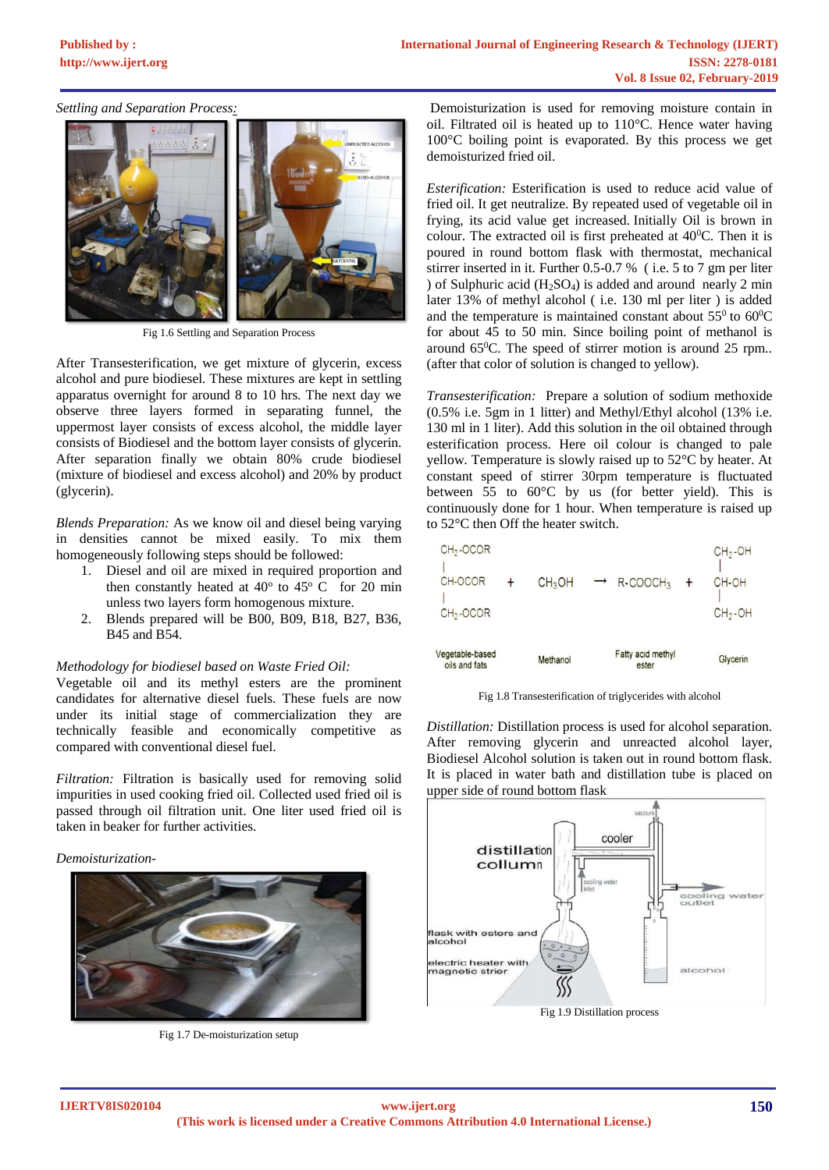#### *Settling and Separation Process:*



Fig 1.6 Settling and Separation Process

After Transesterification, we get mixture of glycerin, excess alcohol and pure biodiesel. These mixtures are kept in settling apparatus overnight for around 8 to 10 hrs. The next day we observe three layers formed in separating funnel, the uppermost layer consists of excess alcohol, the middle layer consists of Biodiesel and the bottom layer consists of glycerin. After separation finally we obtain 80% crude biodiesel (mixture of biodiesel and excess alcohol) and 20% by product (glycerin).

*Blends Preparation:* As we know oil and diesel being varying in densities cannot be mixed easily. To mix them homogeneously following steps should be followed:

- 1. Diesel and oil are mixed in required proportion and then constantly heated at  $40^{\circ}$  to  $45^{\circ}$  C for 20 min unless two layers form homogenous mixture.
- 2. Blends prepared will be B00, B09, B18, B27, B36, B45 and B54.

#### *Methodology for biodiesel based on Waste Fried Oil:*

Vegetable oil and its methyl esters are the prominent candidates for alternative diesel fuels. These fuels are now under its initial stage of commercialization they are technically feasible and economically competitive as compared with conventional diesel fuel.

*Filtration:* Filtration is basically used for removing solid impurities in used cooking fried oil. Collected used fried oil is passed through oil filtration unit. One liter used fried oil is taken in beaker for further activities.

#### *Demoisturization-*



Fig 1.7 De-moisturization setup

Demoisturization is used for removing moisture contain in oil. Filtrated oil is heated up to 110°C. Hence water having 100°C boiling point is evaporated. By this process we get demoisturized fried oil.

*Esterification:* Esterification is used to reduce acid value of fried oil. It get neutralize. By repeated used of vegetable oil in frying, its acid value get increased. Initially Oil is brown in colour. The extracted oil is first preheated at  $40^{\circ}$ C. Then it is poured in round bottom flask with thermostat, mechanical stirrer inserted in it. Further 0.5-0.7 % ( i.e. 5 to 7 gm per liter ) of Sulphuric acid  $(H_2SO_4)$  is added and around nearly 2 min later 13% of methyl alcohol ( i.e. 130 ml per liter ) is added and the temperature is maintained constant about  $55^{\circ}$  to  $60^{\circ}$ C for about 45 to 50 min. Since boiling point of methanol is around  $65^{\circ}$ C. The speed of stirrer motion is around 25 rpm.. (after that color of solution is changed to yellow).

*Transesterification:* Prepare a solution of sodium methoxide (0.5% i.e. 5gm in 1 litter) and Methyl/Ethyl alcohol (13% i.e. 130 ml in 1 liter). Add this solution in the oil obtained through esterification process. Here oil colour is changed to pale yellow. Temperature is slowly raised up to 52°C by heater. At constant speed of stirrer 30rpm temperature is fluctuated between 55 to 60°C by us (for better yield). This is continuously done for 1 hour. When temperature is raised up to 52°C then Off the heater switch.

| /egetable-based       | Methanol           | Fatty acid methyl                  | Glycerin  |
|-----------------------|--------------------|------------------------------------|-----------|
| $CH2$ -OCOR           |                    |                                    | $CH2$ -OH |
| CH-OCOR               | CH <sub>3</sub> OH | $\rightarrow$ R-COOCH <sub>3</sub> | CH-OH     |
| CH <sub>2</sub> -OCOR |                    |                                    | $CH2$ -OH |

Fig 1.8 Transesterification of triglycerides with alcohol

ester

*Distillation:* Distillation process is used for alcohol separation. After removing glycerin and unreacted alcohol layer, Biodiesel Alcohol solution is taken out in round bottom flask. It is placed in water bath and distillation tube is placed on upper side of round bottom flask



Fig 1.9 Distillation process

oils and fats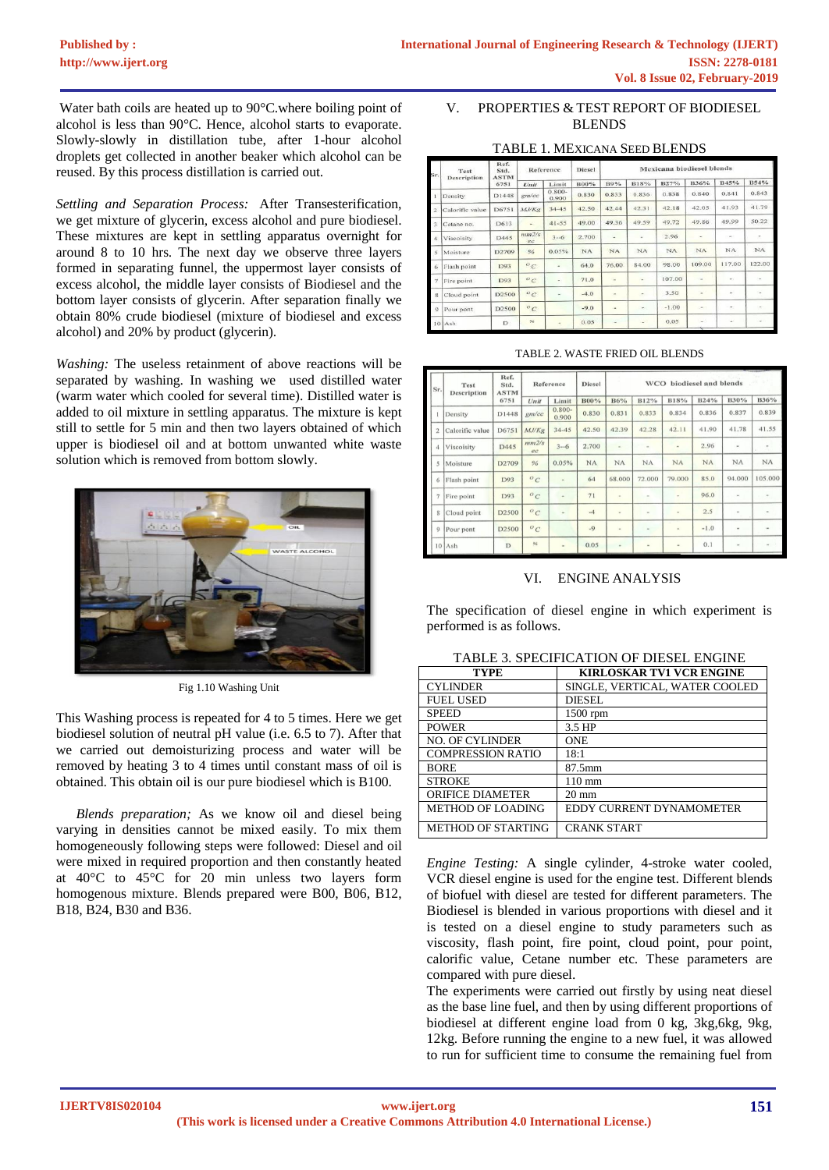Water bath coils are heated up to 90°C.where boiling point of alcohol is less than 90°C. Hence, alcohol starts to evaporate. Slowly-slowly in distillation tube, after 1-hour alcohol droplets get collected in another beaker which alcohol can be reused. By this process distillation is carried out.

*Settling and Separation Process:* After Transesterification, we get mixture of glycerin, excess alcohol and pure biodiesel. These mixtures are kept in settling apparatus overnight for around 8 to 10 hrs. The next day we observe three layers formed in separating funnel, the uppermost layer consists of excess alcohol, the middle layer consists of Biodiesel and the bottom layer consists of glycerin. After separation finally we obtain 80% crude biodiesel (mixture of biodiesel and excess alcohol) and 20% by product (glycerin).

*Washing:* The useless retainment of above reactions will be separated by washing. In washing we used distilled water (warm water which cooled for several time). Distilled water is added to oil mixture in settling apparatus. The mixture is kept still to settle for 5 min and then two layers obtained of which upper is biodiesel oil and at bottom unwanted white waste solution which is removed from bottom slowly.



Fig 1.10 Washing Unit

This Washing process is repeated for 4 to 5 times. Here we get biodiesel solution of neutral pH value (i.e. 6.5 to 7). After that we carried out demoisturizing process and water will be removed by heating 3 to 4 times until constant mass of oil is obtained. This obtain oil is our pure biodiesel which is B100.

*Blends preparation;* As we know oil and diesel being varying in densities cannot be mixed easily. To mix them homogeneously following steps were followed: Diesel and oil were mixed in required proportion and then constantly heated at 40°C to 45°C for 20 min unless two layers form homogenous mixture. Blends prepared were B00, B06, B12, B18, B24, B30 and B36.

# V. PROPERTIES & TEST REPORT OF BIODIESEL BLENDS

# TABLE 1. MEXICANA SEED BLENDS

| Test<br>sr.<br>Description | Ref.<br>Std.<br><b>ASTM</b> | Reference |               | <b>Diesel</b>      | <b>Mexicana</b> biodiesel blends |                |                          |             |                          |                          |        |
|----------------------------|-----------------------------|-----------|---------------|--------------------|----------------------------------|----------------|--------------------------|-------------|--------------------------|--------------------------|--------|
|                            |                             | 6751      | Unit          | Limit              | B00%                             | B9%            | <b>B18%</b>              | <b>B27%</b> | B36%                     | B45%                     | B54%   |
|                            | Density                     | D1448     | gm/cc         | $0.800 -$<br>0.900 | 0.830                            | 0.833          | 0.836                    | 0.838       | 0.840                    | 0.841                    | 0.843  |
| 2                          | Calorific value             | D6751     | MJ/Kg         | $34 - 45$          | 42.50                            | 42.44          | 42.31                    | 42.18       | 42.05                    | 41.93                    | 41.79  |
| 3                          | Cetane no.                  | D613      | a)            | $41 - 55$          | 49.00                            | 49.36          | 49.59                    | 49.72       | 49.86                    | 49.99                    | 50.22  |
| $\boldsymbol{A}$           | Viscoisity                  | D445      | mm2/s<br>ec   | $3 - 6$            | 2.700                            | ٠              | ٠                        | 2.96        | $\overline{\phantom{a}}$ | $\sim$                   | Ξ      |
| 5                          | Moisture                    | D2709     | $\frac{9}{6}$ | 0.05%              | <b>NA</b>                        | NA             | NA                       | <b>NA</b>   | NA                       | <b>NA</b>                | NA     |
| 6                          | Flash point                 | D93       | $^o$ C        |                    | 64.0                             | 76.00          | 84.00                    | 98.00       | 109.00                   | 117.00                   | 122.00 |
| y                          | Fire point                  | D93       | $\circ_C$     | $\overline{a}$     | 71.0                             | ٠              | ٠                        | 107.00      | ٠                        | $\sim$                   | ٠      |
| $\mathbf{s}$               | Cloud point                 | D2500     | $^o c$        | ٠                  | $-4.0$                           | ٠              | ۰                        | 3.50        | ٠                        | ٠                        |        |
| $\circ$                    | Pour pont                   | D2500     | $^o$ C        |                    | $-9.0$                           | $\overline{a}$ | ۰                        | $-1.00$     | $\overline{\phantom{a}}$ | $\overline{\phantom{a}}$ |        |
|                            | $10$ Ash                    | D         | $\approx$     | ۰                  | 0.05                             |                | $\overline{\phantom{a}}$ | 0.05        | $\sim$                   |                          |        |

| Sr.                     | Test<br>Description | Ref.<br>Std.<br><b>ASTM</b> | Reference    |                    | <b>Diesel</b> | WCO biodiesel and blends |                     |                |        |                |              |
|-------------------------|---------------------|-----------------------------|--------------|--------------------|---------------|--------------------------|---------------------|----------------|--------|----------------|--------------|
|                         |                     | 6751                        | Unit         | Limit              | B00%          | B6%                      | B12%                | B18%           | B24%   | <b>B30%</b>    | B36%         |
|                         | Density             | D1448                       | $g$ m/cc     | $0.800 -$<br>0.900 | 0.830         | 0.831                    | 0.833               | 0.834          | 0.836  | 0.837          | 0.839        |
| $\overline{a}$          | Calorific value     | D6751                       | MJ/Kg        | $34 - 45$          | 42.50         | 42.39                    | 42.28               | 42.11          | 41.90  | 41.78          | 41.55        |
| $\overline{A}$          | Viscoisity          | D445                        | mm2/s<br>ec  | $3 - 6$            | 2.700         | $\sim$                   | $\sim$              |                | 2.96   | $\sim$         |              |
| $\overline{\mathbf{5}}$ | Moisture            | D2709                       | 96           | 0.05%              | NA            | NA                       | NA                  | NA             | NA     | NA             | NA           |
| 6                       | Flash point         | D93                         | $^{\circ}$ C |                    | 64            | 68,000                   | 72.000              | 79.000         | 85.0   | 94.000         | 105.000      |
| $\overline{7}$          | Fire point          | D93                         | $^o$ C       | ۰                  | 71            | $\blacksquare$           | $\scriptstyle\rm m$ | $\sim$         | 96.0   | $\sim$         | $\sim$       |
| g                       | Cloud point         | D <sub>2500</sub>           | $^o$ C       |                    | $-4$          | $\sim$                   | $\sim$              | $\overline{a}$ | 2.5    | $\blacksquare$ |              |
| $\circ$                 | Pour pont           | D <sub>2500</sub>           | $^oC$        |                    | $-9$          | ×                        | $\scriptstyle\rm m$ | $\omega$       | $-1.0$ | $\alpha$       |              |
| 10                      | Ash                 | D                           | 96           |                    | 0.05          | $\sim$                   | $\bar{a}$           | ٠              | 0.1    | i.             | $\mathbf{w}$ |

# VI. ENGINE ANALYSIS

The specification of diesel engine in which experiment is performed is as follows.

| <b>TYPE</b>               | <b>KIRLOSKAR TV1 VCR ENGINE</b> |
|---------------------------|---------------------------------|
| <b>CYLINDER</b>           | SINGLE, VERTICAL, WATER COOLED  |
| <b>FUEL USED</b>          | <b>DIESEL</b>                   |
| <b>SPEED</b>              | $1500$ rpm                      |
| <b>POWER</b>              | 3.5 HP                          |
| <b>NO. OF CYLINDER</b>    | <b>ONE</b>                      |
| <b>COMPRESSION RATIO</b>  | 18:1                            |
| <b>BORE</b>               | 87.5mm                          |
| <b>STROKE</b>             | $110 \text{ mm}$                |
| <b>ORIFICE DIAMETER</b>   | $20 \text{ mm}$                 |
| <b>METHOD OF LOADING</b>  | EDDY CURRENT DYNAMOMETER        |
| <b>METHOD OF STARTING</b> | <b>CRANK START</b>              |

TABLE 3. SPECIFICATION OF DIESEL ENGINE

*Engine Testing:* A single cylinder, 4-stroke water cooled, VCR diesel engine is used for the engine test. Different blends of biofuel with diesel are tested for different parameters. The Biodiesel is blended in various proportions with diesel and it is tested on a diesel engine to study parameters such as viscosity, flash point, fire point, cloud point, pour point, calorific value, Cetane number etc. These parameters are compared with pure diesel.

The experiments were carried out firstly by using neat diesel as the base line fuel, and then by using different proportions of biodiesel at different engine load from 0 kg, 3kg,6kg, 9kg, 12kg. Before running the engine to a new fuel, it was allowed to run for sufficient time to consume the remaining fuel from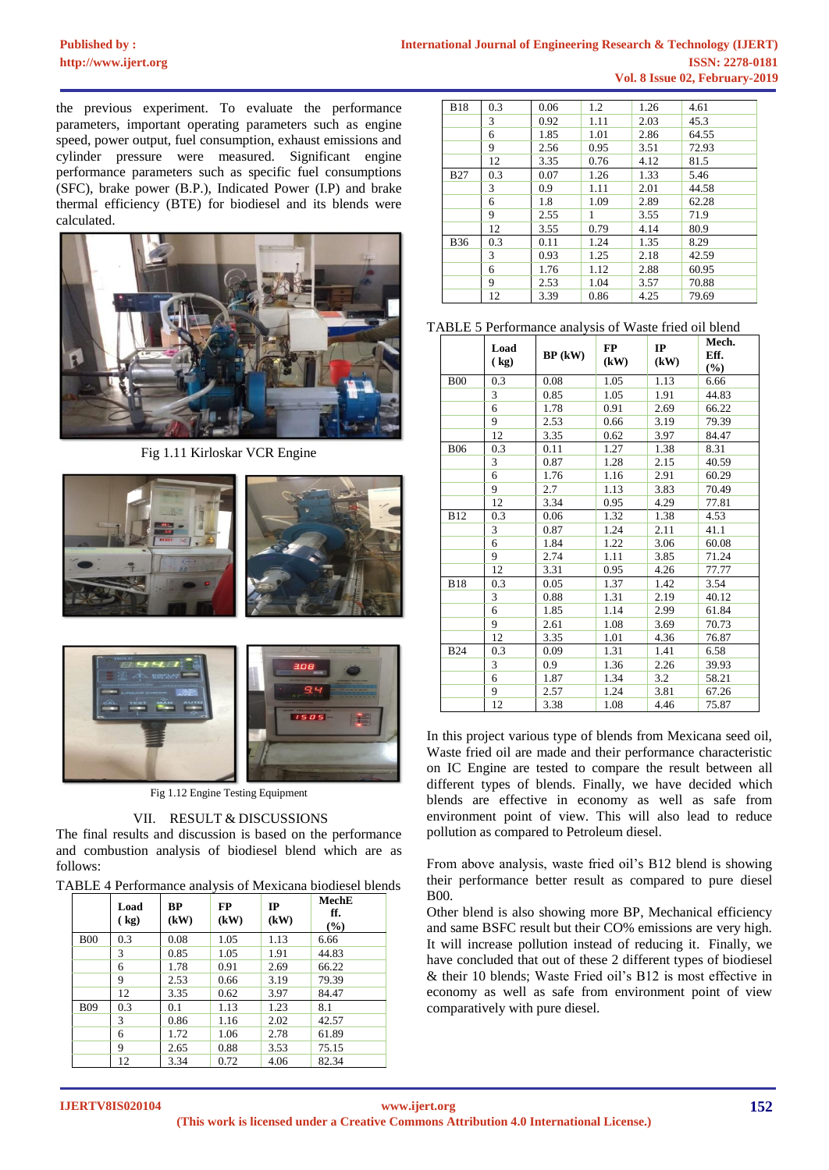# **Published by :**

the previous experiment. To evaluate the performance parameters, important operating parameters such as engine speed, power output, fuel consumption, exhaust emissions and cylinder pressure were measured. Significant engine performance parameters such as specific fuel consumptions (SFC), brake power (B.P.), Indicated Power (I.P) and brake thermal efficiency (BTE) for biodiesel and its blends were calculated.



Fig 1.11 Kirloskar VCR Engine





Fig 1.12 Engine Testing Equipment

# VII. RESULT & DISCUSSIONS

The final results and discussion is based on the performance and combustion analysis of biodiesel blend which are as follows:

|  | TABLE 4 Performance analysis of Mexicana biodiesel blends |  |  |
|--|-----------------------------------------------------------|--|--|
|  |                                                           |  |  |

|            | Load<br>$\left(\frac{1}{2}R\right)$ | BP<br>(kW) | <b>FP</b><br>(kW) | IP<br>(kW) | MechE<br>ff.<br>$(\%)$ |
|------------|-------------------------------------|------------|-------------------|------------|------------------------|
| <b>B00</b> | 0.3                                 | 0.08       | 1.05              | 1.13       | 6.66                   |
|            | 3                                   | 0.85       | 1.05              | 1.91       | 44.83                  |
|            | 6                                   | 1.78       | 0.91              | 2.69       | 66.22                  |
|            | 9                                   | 2.53       | 0.66              | 3.19       | 79.39                  |
|            | 12                                  | 3.35       | 0.62              | 3.97       | 84.47                  |
| <b>B09</b> | 0.3                                 | 0.1        | 1.13              | 1.23       | 8.1                    |
|            | 3                                   | 0.86       | 1.16              | 2.02       | 42.57                  |
|            | 6                                   | 1.72       | 1.06              | 2.78       | 61.89                  |
|            | 9                                   | 2.65       | 0.88              | 3.53       | 75.15                  |
|            | 12                                  | 3.34       | 0.72              | 4.06       | 82.34                  |

| <b>B18</b> | 0.3 | 0.06 | 1.2  | 1.26 | 4.61  |
|------------|-----|------|------|------|-------|
|            | 3   | 0.92 | 1.11 | 2.03 | 45.3  |
|            | 6   | 1.85 | 1.01 | 2.86 | 64.55 |
|            | 9   | 2.56 | 0.95 | 3.51 | 72.93 |
|            | 12  | 3.35 | 0.76 | 4.12 | 81.5  |
| <b>B27</b> | 0.3 | 0.07 | 1.26 | 1.33 | 5.46  |
|            | 3   | 0.9  | 1.11 | 2.01 | 44.58 |
|            | 6   | 1.8  | 1.09 | 2.89 | 62.28 |
|            | 9   | 2.55 | 1    | 3.55 | 71.9  |
|            | 12  | 3.55 | 0.79 | 4.14 | 80.9  |
| <b>B36</b> | 0.3 | 0.11 | 1.24 | 1.35 | 8.29  |
|            | 3   | 0.93 | 1.25 | 2.18 | 42.59 |
|            | 6   | 1.76 | 1.12 | 2.88 | 60.95 |
|            | 9   | 2.53 | 1.04 | 3.57 | 70.88 |
|            | 12  | 3.39 | 0.86 | 4.25 | 79.69 |

TABLE 5 Performance analysis of Waste fried oil blend

|            | Load<br>(kg) | $BP$ (kW) | <b>FP</b><br>(kW) | IP<br>(kW) | Mech.<br>Eff.<br>(%) |
|------------|--------------|-----------|-------------------|------------|----------------------|
| <b>B00</b> | 0.3          | 0.08      | 1.05              | 1.13       | 6.66                 |
|            | 3            | 0.85      | 1.05              | 1.91       | 44.83                |
|            | 6            | 1.78      | 0.91              | 2.69       | 66.22                |
|            | 9            | 2.53      | 0.66              | 3.19       | 79.39                |
|            | 12           | 3.35      | 0.62              | 3.97       | 84.47                |
| <b>B06</b> | 0.3          | 0.11      | 1.27              | 1.38       | 8.31                 |
|            | 3            | 0.87      | 1.28              | 2.15       | 40.59                |
|            | 6            | 1.76      | 1.16              | 2.91       | 60.29                |
|            | 9            | 2.7       | 1.13              | 3.83       | 70.49                |
|            | 12           | 3.34      | 0.95              | 4.29       | 77.81                |
| <b>B12</b> | 0.3          | 0.06      | 1.32              | 1.38       | 4.53                 |
|            | 3            | 0.87      | 1.24              | 2.11       | 41.1                 |
|            | 6            | 1.84      | 1.22              | 3.06       | 60.08                |
|            | 9            | 2.74      | 1.11              | 3.85       | 71.24                |
|            | 12           | 3.31      | 0.95              | 4.26       | 77.77                |
| <b>B18</b> | 0.3          | 0.05      | 1.37              | 1.42       | 3.54                 |
|            | 3            | 0.88      | 1.31              | 2.19       | 40.12                |
|            | 6            | 1.85      | 1.14              | 2.99       | 61.84                |
|            | 9            | 2.61      | 1.08              | 3.69       | 70.73                |
|            | 12           | 3.35      | 1.01              | 4.36       | 76.87                |
| <b>B24</b> | 0.3          | 0.09      | 1.31              | 1.41       | 6.58                 |
|            | 3            | 0.9       | 1.36              | 2.26       | 39.93                |
|            | 6            | 1.87      | 1.34              | 3.2        | 58.21                |
|            | 9            | 2.57      | 1.24              | 3.81       | 67.26                |
|            | 12           | 3.38      | 1.08              | 4.46       | 75.87                |

In this project various type of blends from Mexicana seed oil, Waste fried oil are made and their performance characteristic on IC Engine are tested to compare the result between all different types of blends. Finally, we have decided which blends are effective in economy as well as safe from environment point of view. This will also lead to reduce pollution as compared to Petroleum diesel.

From above analysis, waste fried oil's B12 blend is showing their performance better result as compared to pure diesel B00.

Other blend is also showing more BP, Mechanical efficiency and same BSFC result but their CO% emissions are very high. It will increase pollution instead of reducing it. Finally, we have concluded that out of these 2 different types of biodiesel & their 10 blends; Waste Fried oil's B12 is most effective in economy as well as safe from environment point of view comparatively with pure diesel.